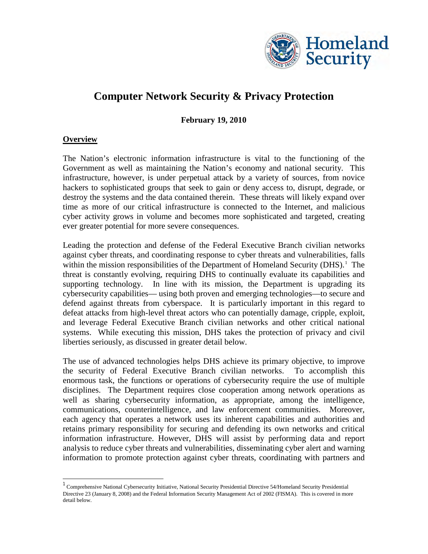

# **Computer Network Security & Privacy Protection**

**February 19, 2010**

#### **Overview**

The Nation's electronic information infrastructure is vital to the functioning of the Government as well as maintaining the Nation's economy and national security. This infrastructure, however, is under perpetual attack by a variety of sources, from novice hackers to sophisticated groups that seek to gain or deny access to, disrupt, degrade, or destroy the systems and the data contained therein. These threats will likely expand over time as more of our critical infrastructure is connected to the Internet, and malicious cyber activity grows in volume and becomes more sophisticated and targeted, creating ever greater potential for more severe consequences.

Leading the protection and defense of the Federal Executive Branch civilian networks against cyber threats, and coordinating response to cyber threats and vulnerabilities, falls within the mission responsibilities of the Department of Homeland Security (DHS).<sup>[1](#page-0-0)</sup> The threat is constantly evolving, requiring DHS to continually evaluate its capabilities and supporting technology. In line with its mission, the Department is upgrading its cybersecurity capabilities— using both proven and emerging technologies—to secure and defend against threats from cyberspace. It is particularly important in this regard to defeat attacks from high-level threat actors who can potentially damage, cripple, exploit, and leverage Federal Executive Branch civilian networks and other critical national systems. While executing this mission, DHS takes the protection of privacy and civil liberties seriously, as discussed in greater detail below.

The use of advanced technologies helps DHS achieve its primary objective, to improve the security of Federal Executive Branch civilian networks. To accomplish this enormous task, the functions or operations of cybersecurity require the use of multiple disciplines. The Department requires close cooperation among network operations as well as sharing cybersecurity information, as appropriate, among the intelligence, communications, counterintelligence, and law enforcement communities. Moreover, each agency that operates a network uses its inherent capabilities and authorities and retains primary responsibility for securing and defending its own networks and critical information infrastructure. However, DHS will assist by performing data and report analysis to reduce cyber threats and vulnerabilities, disseminating cyber alert and warning information to promote protection against cyber threats, coordinating with partners and

<span id="page-0-0"></span><sup>1</sup> Comprehensive National Cybersecurity Initiative, National Security Presidential Directive 54/Homeland Security Presidential Directive 23 (January 8, 2008) and the Federal Information Security Management Act of 2002 (FISMA). This is covered in more detail below.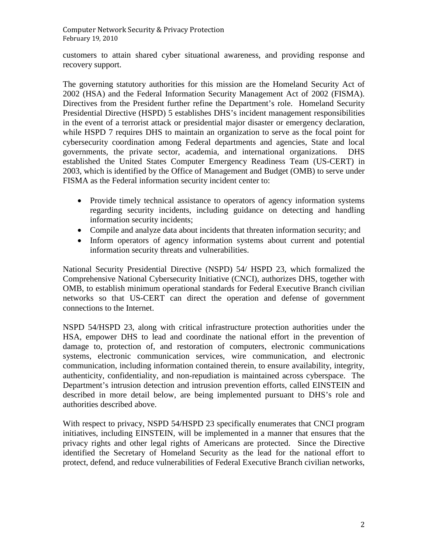customers to attain shared cyber situational awareness, and providing response and recovery support.

The governing statutory authorities for this mission are the Homeland Security Act of 2002 (HSA) and the Federal Information Security Management Act of 2002 (FISMA). Directives from the President further refine the Department's role. Homeland Security Presidential Directive (HSPD) 5 establishes DHS's incident management responsibilities in the event of a terrorist attack or presidential major disaster or emergency declaration, while HSPD 7 requires DHS to maintain an organization to serve as the focal point for cybersecurity coordination among Federal departments and agencies, State and local governments, the private sector, academia, and international organizations. DHS established the United States Computer Emergency Readiness Team (US-CERT) in 2003, which is identified by the Office of Management and Budget (OMB) to serve under FISMA as the Federal information security incident center to:

- Provide timely technical assistance to operators of agency information systems regarding security incidents, including guidance on detecting and handling information security incidents;
- Compile and analyze data about incidents that threaten information security; and
- Inform operators of agency information systems about current and potential information security threats and vulnerabilities.

National Security Presidential Directive (NSPD) 54/ HSPD 23, which formalized the Comprehensive National Cybersecurity Initiative (CNCI), authorizes DHS, together with OMB, to establish minimum operational standards for Federal Executive Branch civilian networks so that US-CERT can direct the operation and defense of government connections to the Internet.

NSPD 54/HSPD 23, along with critical infrastructure protection authorities under the HSA, empower DHS to lead and coordinate the national effort in the prevention of damage to, protection of, and restoration of computers, electronic communications systems, electronic communication services, wire communication, and electronic communication, including information contained therein, to ensure availability, integrity, authenticity, confidentiality, and non-repudiation is maintained across cyberspace. The Department's intrusion detection and intrusion prevention efforts, called EINSTEIN and described in more detail below, are being implemented pursuant to DHS's role and authorities described above.

With respect to privacy, NSPD 54/HSPD 23 specifically enumerates that CNCI program initiatives, including EINSTEIN, will be implemented in a manner that ensures that the privacy rights and other legal rights of Americans are protected. Since the Directive identified the Secretary of Homeland Security as the lead for the national effort to protect, defend, and reduce vulnerabilities of Federal Executive Branch civilian networks,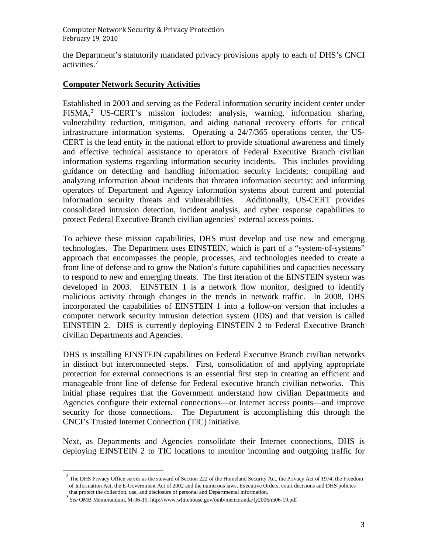the Department's statutorily mandated privacy provisions apply to each of DHS's CNCI activities.<sup>[2](#page-2-0)</sup>

## **Computer Network Security Activities**

Established in 2003 and serving as the Federal information security incident center under FISMA,<sup>[3](#page-2-1)</sup> US-CERT's mission includes: analysis, warning, information sharing, vulnerability reduction, mitigation, and aiding national recovery efforts for critical infrastructure information systems. Operating a 24/7/365 operations center, the US-CERT is the lead entity in the national effort to provide situational awareness and timely and effective technical assistance to operators of Federal Executive Branch civilian information systems regarding information security incidents. This includes providing guidance on detecting and handling information security incidents; compiling and analyzing information about incidents that threaten information security; and informing operators of Department and Agency information systems about current and potential information security threats and vulnerabilities. Additionally, US-CERT provides consolidated intrusion detection, incident analysis, and cyber response capabilities to protect Federal Executive Branch civilian agencies' external access points.

To achieve these mission capabilities, DHS must develop and use new and emerging technologies. The Department uses EINSTEIN, which is part of a "system-of-systems" approach that encompasses the people, processes, and technologies needed to create a front line of defense and to grow the Nation's future capabilities and capacities necessary to respond to new and emerging threats. The first iteration of the EINSTEIN system was developed in 2003. EINSTEIN 1 is a network flow monitor, designed to identify malicious activity through changes in the trends in network traffic. In 2008, DHS incorporated the capabilities of EINSTEIN 1 into a follow-on version that includes a computer network security intrusion detection system (IDS) and that version is called EINSTEIN 2. DHS is currently deploying EINSTEIN 2 to Federal Executive Branch civilian Departments and Agencies.

DHS is installing EINSTEIN capabilities on Federal Executive Branch civilian networks in distinct but interconnected steps. First, consolidation of and applying appropriate protection for external connections is an essential first step in creating an efficient and manageable front line of defense for Federal executive branch civilian networks. This initial phase requires that the Government understand how civilian Departments and Agencies configure their external connections—or Internet access points—and improve security for those connections. The Department is accomplishing this through the CNCI's Trusted Internet Connection (TIC) initiative.

Next, as Departments and Agencies consolidate their Internet connections, DHS is deploying EINSTEIN 2 to TIC locations to monitor incoming and outgoing traffic for

<span id="page-2-0"></span><sup>&</sup>lt;sup>2</sup> The DHS Privacy Office serves as the steward of Section 222 of the Homeland Security Act, the Privacy Act of 1974, the Freedom of Information Act, the E-Government Act of 2002 and the numerous laws, Executive Orders, court decisions and DHS policies

<span id="page-2-1"></span>that protect the collection, use, and disclosure of personal and Departmental information. <sup>3</sup> *See* OMB Memorandum, M-06-19, http://www.whitehouse.gov/omb/memoranda/fy2006/m06-19.pdf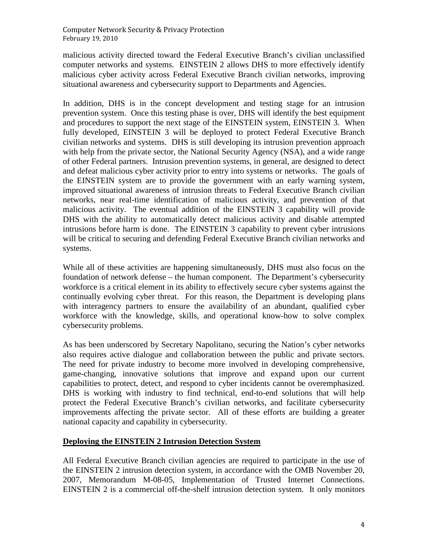malicious activity directed toward the Federal Executive Branch's civilian unclassified computer networks and systems. EINSTEIN 2 allows DHS to more effectively identify malicious cyber activity across Federal Executive Branch civilian networks, improving situational awareness and cybersecurity support to Departments and Agencies.

In addition, DHS is in the concept development and testing stage for an intrusion prevention system. Once this testing phase is over, DHS will identify the best equipment and procedures to support the next stage of the EINSTEIN system, EINSTEIN 3. When fully developed, EINSTEIN 3 will be deployed to protect Federal Executive Branch civilian networks and systems. DHS is still developing its intrusion prevention approach with help from the private sector, the National Security Agency (NSA), and a wide range of other Federal partners. Intrusion prevention systems, in general, are designed to detect and defeat malicious cyber activity prior to entry into systems or networks. The goals of the EINSTEIN system are to provide the government with an early warning system, improved situational awareness of intrusion threats to Federal Executive Branch civilian networks, near real-time identification of malicious activity, and prevention of that malicious activity. The eventual addition of the EINSTEIN 3 capability will provide DHS with the ability to automatically detect malicious activity and disable attempted intrusions before harm is done. The EINSTEIN 3 capability to prevent cyber intrusions will be critical to securing and defending Federal Executive Branch civilian networks and systems.

While all of these activities are happening simultaneously, DHS must also focus on the foundation of network defense – the human component. The Department's cybersecurity workforce is a critical element in its ability to effectively secure cyber systems against the continually evolving cyber threat. For this reason, the Department is developing plans with interagency partners to ensure the availability of an abundant, qualified cyber workforce with the knowledge, skills, and operational know-how to solve complex cybersecurity problems.

As has been underscored by Secretary Napolitano, securing the Nation's cyber networks also requires active dialogue and collaboration between the public and private sectors. The need for private industry to become more involved in developing comprehensive, game-changing, innovative solutions that improve and expand upon our current capabilities to protect, detect, and respond to cyber incidents cannot be overemphasized. DHS is working with industry to find technical, end-to-end solutions that will help protect the Federal Executive Branch's civilian networks, and facilitate cybersecurity improvements affecting the private sector. All of these efforts are building a greater national capacity and capability in cybersecurity.

# **Deploying the EINSTEIN 2 Intrusion Detection System**

All Federal Executive Branch civilian agencies are required to participate in the use of the EINSTEIN 2 intrusion detection system, in accordance with the OMB November 20, 2007, Memorandum M-08-05, Implementation of Trusted Internet Connections. EINSTEIN 2 is a commercial off-the-shelf intrusion detection system. It only monitors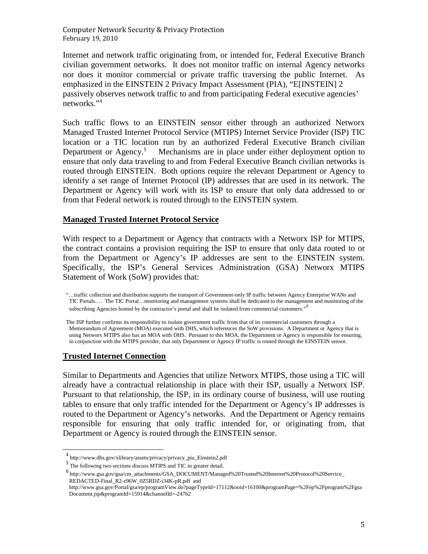Internet and network traffic originating from, or intended for, Federal Executive Branch civilian government networks. It does not monitor traffic on internal Agency networks nor does it monitor commercial or private traffic traversing the public Internet. As emphasized in the EINSTEIN 2 Privacy Impact Assessment (PIA), "E[INSTEIN] 2 passively observes network traffic to and from participating Federal executive agencies' networks."[4](#page-4-0)

Such traffic flows to an EINSTEIN sensor either through an authorized Networx Managed Trusted Internet Protocol Service (MTIPS) Internet Service Provider (ISP) TIC location or a TIC location run by an authorized Federal Executive Branch civilian Department or Agency.<sup>[5](#page-4-1)</sup> Mechanisms are in place under either deployment option to ensure that only data traveling to and from Federal Executive Branch civilian networks is routed through EINSTEIN. Both options require the relevant Department or Agency to identify a set range of Internet Protocol (IP) addresses that are used in its network. The Department or Agency will work with its ISP to ensure that only data addressed to or from that Federal network is routed through to the EINSTEIN system.

#### **Managed Trusted Internet Protocol Service**

With respect to a Department or Agency that contracts with a Networx ISP for MTIPS, the contract contains a provision requiring the ISP to ensure that only data routed to or from the Department or Agency's IP addresses are sent to the EINSTEIN system. Specifically, the ISP's General Services Administration (GSA) Networx MTIPS Statement of Work (SoW) provides that:

"…traffic collection and distribution supports the transport of Government-only IP traffic between Agency Enterprise WANs and TIC Portals…. The TIC Portal…monitoring and management systems shall be dedicated to the management and monitoring of the subscribing Agencies hosted by the contractor's portal and shall be isolated from commercial customers."*[6](#page-4-2)*

The ISP further confirms its responsibility to isolate government traffic from that of its commercial customers through a Memorandum of Agreement (MOA) executed with DHS, which references the SoW provisions. A Department or Agency that is using Networx MTIPS also has an MOA with DHS. Pursuant to this MOA, the Department or Agency is responsible for ensuring, in conjunction with the MTIPS provider, that only Department or Agency IP traffic is routed through the EINSTEIN sensor.

#### **Trusted Internet Connection**

Similar to Departments and Agencies that utilize Networx MTIPS, those using a TIC will already have a contractual relationship in place with their ISP, usually a Networx ISP. Pursuant to that relationship, the ISP, in its ordinary course of business, will use routing tables to ensure that only traffic intended for the Department or Agency's IP addresses is routed to the Department or Agency's networks. And the Department or Agency remains responsible for ensuring that only traffic intended for, or originating from, that Department or Agency is routed through the EINSTEIN sensor.

<span id="page-4-0"></span><sup>4</sup> http://www.dhs.gov/xlibrary/assets/privacy/privacy\_pia\_Einstein2.pdf

<span id="page-4-1"></span> $^5$  The following two sections discuss MTIPS and TIC in greater detail.

<span id="page-4-2"></span> $^6$ http://www.gsa.gov/gsa/cm\_attachments/GSA\_DOCUMENT/Managed%20Trusted%20Internet%20Protocol%20Service\_ REDACTED-Final\_R2-z96W\_0Z5RDZ-i34K-pR.pdf and

http://www.gsa.gov/Portal/gsa/ep/programView.do?pageTypeId=17112&ooid=16100&programPage=%2Fep%2Fprogram%2Fgsa Document.jsp&programId=15914&channelId=-24762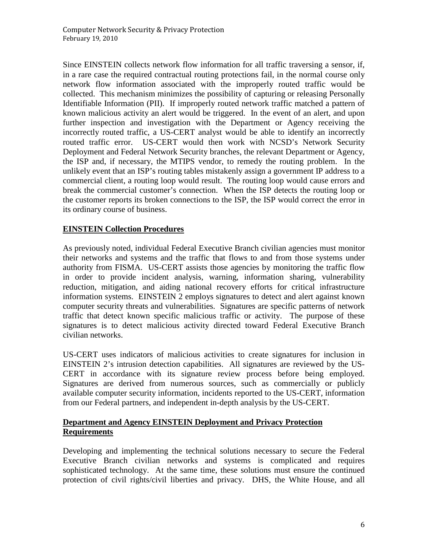Since EINSTEIN collects network flow information for all traffic traversing a sensor, if, in a rare case the required contractual routing protections fail, in the normal course only network flow information associated with the improperly routed traffic would be collected. This mechanism minimizes the possibility of capturing or releasing Personally Identifiable Information (PII). If improperly routed network traffic matched a pattern of known malicious activity an alert would be triggered. In the event of an alert, and upon further inspection and investigation with the Department or Agency receiving the incorrectly routed traffic, a US-CERT analyst would be able to identify an incorrectly routed traffic error. US-CERT would then work with NCSD's Network Security Deployment and Federal Network Security branches, the relevant Department or Agency, the ISP and, if necessary, the MTIPS vendor, to remedy the routing problem. In the unlikely event that an ISP's routing tables mistakenly assign a government IP address to a commercial client, a routing loop would result. The routing loop would cause errors and break the commercial customer's connection. When the ISP detects the routing loop or the customer reports its broken connections to the ISP, the ISP would correct the error in its ordinary course of business.

## **EINSTEIN Collection Procedures**

As previously noted, individual Federal Executive Branch civilian agencies must monitor their networks and systems and the traffic that flows to and from those systems under authority from FISMA. US-CERT assists those agencies by monitoring the traffic flow in order to provide incident analysis, warning, information sharing, vulnerability reduction, mitigation, and aiding national recovery efforts for critical infrastructure information systems. EINSTEIN 2 employs signatures to detect and alert against known computer security threats and vulnerabilities. Signatures are specific patterns of network traffic that detect known specific malicious traffic or activity. The purpose of these signatures is to detect malicious activity directed toward Federal Executive Branch civilian networks.

US-CERT uses indicators of malicious activities to create signatures for inclusion in EINSTEIN 2's intrusion detection capabilities. All signatures are reviewed by the US-CERT in accordance with its signature review process before being employed. Signatures are derived from numerous sources, such as commercially or publicly available computer security information, incidents reported to the US-CERT, information from our Federal partners, and independent in-depth analysis by the US-CERT.

#### **Department and Agency EINSTEIN Deployment and Privacy Protection Requirements**

Developing and implementing the technical solutions necessary to secure the Federal Executive Branch civilian networks and systems is complicated and requires sophisticated technology. At the same time, these solutions must ensure the continued protection of civil rights/civil liberties and privacy. DHS, the White House, and all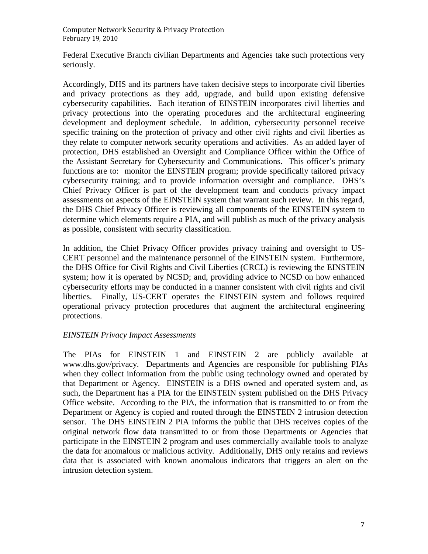Federal Executive Branch civilian Departments and Agencies take such protections very seriously.

Accordingly, DHS and its partners have taken decisive steps to incorporate civil liberties and privacy protections as they add, upgrade, and build upon existing defensive cybersecurity capabilities. Each iteration of EINSTEIN incorporates civil liberties and privacy protections into the operating procedures and the architectural engineering development and deployment schedule. In addition, cybersecurity personnel receive specific training on the protection of privacy and other civil rights and civil liberties as they relate to computer network security operations and activities. As an added layer of protection, DHS established an Oversight and Compliance Officer within the Office of the Assistant Secretary for Cybersecurity and Communications. This officer's primary functions are to: monitor the EINSTEIN program; provide specifically tailored privacy cybersecurity training; and to provide information oversight and compliance. DHS's Chief Privacy Officer is part of the development team and conducts privacy impact assessments on aspects of the EINSTEIN system that warrant such review. In this regard, the DHS Chief Privacy Officer is reviewing all components of the EINSTEIN system to determine which elements require a PIA, and will publish as much of the privacy analysis as possible, consistent with security classification.

In addition, the Chief Privacy Officer provides privacy training and oversight to US-CERT personnel and the maintenance personnel of the EINSTEIN system. Furthermore, the DHS Office for Civil Rights and Civil Liberties (CRCL) is reviewing the EINSTEIN system; how it is operated by NCSD; and, providing advice to NCSD on how enhanced cybersecurity efforts may be conducted in a manner consistent with civil rights and civil liberties. Finally, US-CERT operates the EINSTEIN system and follows required operational privacy protection procedures that augment the architectural engineering protections.

### *EINSTEIN Privacy Impact Assessments*

The PIAs for EINSTEIN 1 and EINSTEIN 2 are publicly available at www.dhs.gov/privacy. Departments and Agencies are responsible for publishing PIAs when they collect information from the public using technology owned and operated by that Department or Agency. EINSTEIN is a DHS owned and operated system and, as such, the Department has a PIA for the EINSTEIN system published on the DHS Privacy Office website. According to the PIA, the information that is transmitted to or from the Department or Agency is copied and routed through the EINSTEIN 2 intrusion detection sensor. The DHS EINSTEIN 2 PIA informs the public that DHS receives copies of the original network flow data transmitted to or from those Departments or Agencies that participate in the EINSTEIN 2 program and uses commercially available tools to analyze the data for anomalous or malicious activity. Additionally, DHS only retains and reviews data that is associated with known anomalous indicators that triggers an alert on the intrusion detection system.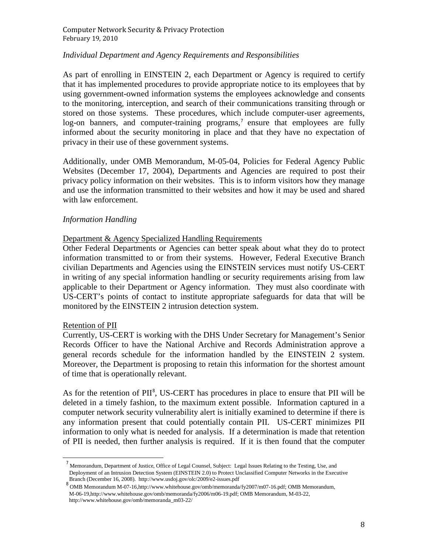#### *Individual Department and Agency Requirements and Responsibilities*

As part of enrolling in EINSTEIN 2, each Department or Agency is required to certify that it has implemented procedures to provide appropriate notice to its employees that by using government-owned information systems the employees acknowledge and consents to the monitoring, interception, and search of their communications transiting through or stored on those systems. These procedures, which include computer-user agreements, log-on banners, and computer-training programs,<sup> $7$ </sup> ensure that employees are fully informed about the security monitoring in place and that they have no expectation of privacy in their use of these government systems.

Additionally, under OMB Memorandum, M-05-04, Policies for Federal Agency Public Websites (December 17, 2004), Departments and Agencies are required to post their privacy policy information on their websites. This is to inform visitors how they manage and use the information transmitted to their websites and how it may be used and shared with law enforcement.

#### *Information Handling*

#### Department & Agency Specialized Handling Requirements

Other Federal Departments or Agencies can better speak about what they do to protect information transmitted to or from their systems. However, Federal Executive Branch civilian Departments and Agencies using the EINSTEIN services must notify US-CERT in writing of any special information handling or security requirements arising from law applicable to their Department or Agency information. They must also coordinate with US-CERT's points of contact to institute appropriate safeguards for data that will be monitored by the EINSTEIN 2 intrusion detection system.

#### Retention of PII

Currently, US-CERT is working with the DHS Under Secretary for Management's Senior Records Officer to have the National Archive and Records Administration approve a general records schedule for the information handled by the EINSTEIN 2 system. Moreover, the Department is proposing to retain this information for the shortest amount of time that is operationally relevant.

As for the retention of PII<sup>[8](#page-7-1)</sup>, US-CERT has procedures in place to ensure that PII will be deleted in a timely fashion, to the maximum extent possible. Information captured in a computer network security vulnerability alert is initially examined to determine if there is any information present that could potentially contain PII. US-CERT minimizes PII information to only what is needed for analysis. If a determination is made that retention of PII is needed, then further analysis is required. If it is then found that the computer

<span id="page-7-0"></span><sup>&</sup>lt;sup>7</sup> Memorandum, Department of Justice, Office of Legal Counsel, Subject: Legal Issues Relating to the Testing, Use, and Deployment of an Intrusion Detection System (EINSTEIN 2.0) to Protect Unclassified Computer Networks in the Executive Branch (December 16, 2008). http://www.usdoj.gov/olc/2009/e2-issues.pdf

<span id="page-7-1"></span> $8$  OMB Memorandum M-07-16,http://www.whitehouse.gov/omb/memoranda/fy2007/m07-16.pdf; OMB Memorandum, M-06-19,http://www.whitehouse.gov/omb/memoranda/fy2006/m06-19.pdf; OMB Memorandum, M-03-22, http://www.whitehouse.gov/omb/memoranda\_m03-22/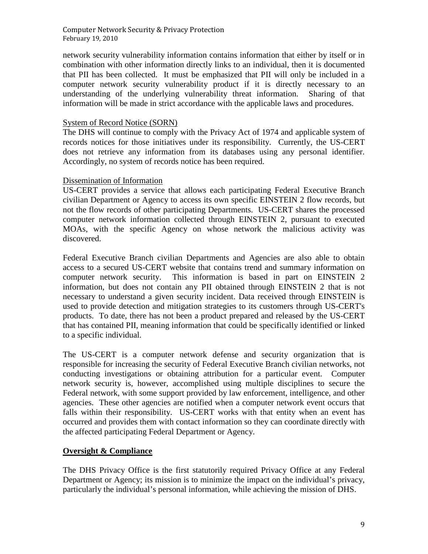network security vulnerability information contains information that either by itself or in combination with other information directly links to an individual, then it is documented that PII has been collected. It must be emphasized that PII will only be included in a computer network security vulnerability product if it is directly necessary to an understanding of the underlying vulnerability threat information. Sharing of that information will be made in strict accordance with the applicable laws and procedures.

#### System of Record Notice (SORN)

The DHS will continue to comply with the Privacy Act of 1974 and applicable system of records notices for those initiatives under its responsibility. Currently, the US-CERT does not retrieve any information from its databases using any personal identifier. Accordingly, no system of records notice has been required.

#### Dissemination of Information

US-CERT provides a service that allows each participating Federal Executive Branch civilian Department or Agency to access its own specific EINSTEIN 2 flow records, but not the flow records of other participating Departments. US-CERT shares the processed computer network information collected through EINSTEIN 2, pursuant to executed MOAs, with the specific Agency on whose network the malicious activity was discovered.

Federal Executive Branch civilian Departments and Agencies are also able to obtain access to a secured US-CERT website that contains trend and summary information on computer network security. This information is based in part on EINSTEIN 2 information, but does not contain any PII obtained through EINSTEIN 2 that is not necessary to understand a given security incident. Data received through EINSTEIN is used to provide detection and mitigation strategies to its customers through US-CERT's products. To date, there has not been a product prepared and released by the US-CERT that has contained PII, meaning information that could be specifically identified or linked to a specific individual.

The US-CERT is a computer network defense and security organization that is responsible for increasing the security of Federal Executive Branch civilian networks, not conducting investigations or obtaining attribution for a particular event. Computer network security is, however, accomplished using multiple disciplines to secure the Federal network, with some support provided by law enforcement, intelligence, and other agencies. These other agencies are notified when a computer network event occurs that falls within their responsibility. US-CERT works with that entity when an event has occurred and provides them with contact information so they can coordinate directly with the affected participating Federal Department or Agency.

#### **Oversight & Compliance**

The DHS Privacy Office is the first statutorily required Privacy Office at any Federal Department or Agency; its mission is to minimize the impact on the individual's privacy, particularly the individual's personal information, while achieving the mission of DHS.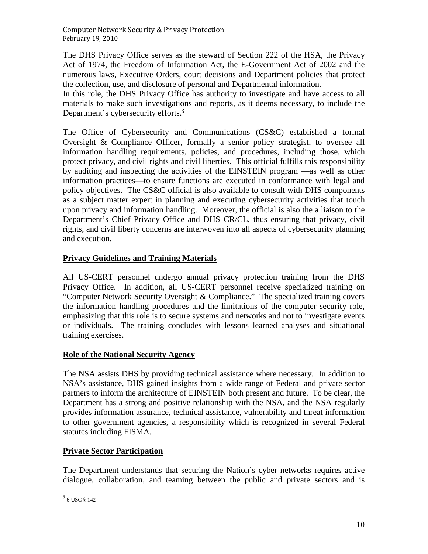The DHS Privacy Office serves as the steward of Section 222 of the HSA, the Privacy Act of 1974, the Freedom of Information Act, the E-Government Act of 2002 and the numerous laws, Executive Orders, court decisions and Department policies that protect the collection, use, and disclosure of personal and Departmental information.

In this role, the DHS Privacy Office has authority to investigate and have access to all materials to make such investigations and reports, as it deems necessary, to include the Department's cybersecurity efforts.<sup>[9](#page-9-0)</sup>

The Office of Cybersecurity and Communications (CS&C) established a formal Oversight & Compliance Officer, formally a senior policy strategist, to oversee all information handling requirements, policies, and procedures, including those, which protect privacy, and civil rights and civil liberties. This official fulfills this responsibility by auditing and inspecting the activities of the EINSTEIN program —as well as other information practices—to ensure functions are executed in conformance with legal and policy objectives. The CS&C official is also available to consult with DHS components as a subject matter expert in planning and executing cybersecurity activities that touch upon privacy and information handling. Moreover, the official is also the a liaison to the Department's Chief Privacy Office and DHS CR/CL, thus ensuring that privacy, civil rights, and civil liberty concerns are interwoven into all aspects of cybersecurity planning and execution.

## **Privacy Guidelines and Training Materials**

All US-CERT personnel undergo annual privacy protection training from the DHS Privacy Office. In addition, all US-CERT personnel receive specialized training on "Computer Network Security Oversight & Compliance." The specialized training covers the information handling procedures and the limitations of the computer security role, emphasizing that this role is to secure systems and networks and not to investigate events or individuals. The training concludes with lessons learned analyses and situational training exercises.

# **Role of the National Security Agency**

The NSA assists DHS by providing technical assistance where necessary. In addition to NSA's assistance, DHS gained insights from a wide range of Federal and private sector partners to inform the architecture of EINSTEIN both present and future. To be clear, the Department has a strong and positive relationship with the NSA, and the NSA regularly provides information assurance, technical assistance, vulnerability and threat information to other government agencies, a responsibility which is recognized in several Federal statutes including FISMA.

# **Private Sector Participation**

The Department understands that securing the Nation's cyber networks requires active dialogue, collaboration, and teaming between the public and private sectors and is

<span id="page-9-0"></span><sup>9</sup> 6 USC § 142